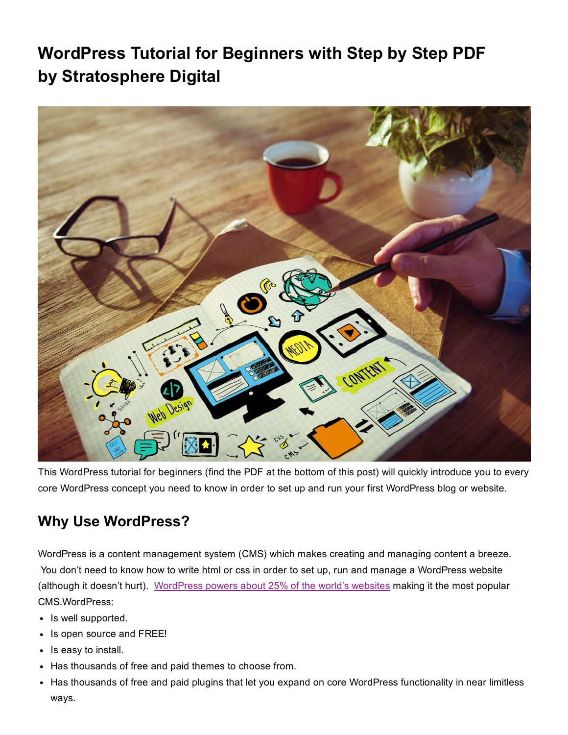# WordPress Tutorial for Beginners with Step by Step PDF **by Stratosphere Digital**



This WordPress tutorial for beginners (find the PDF at the bottom of this post) will quickly introduce you to every core WordPress concept you need to know in order to set up and run your first WordPress blog or website.

# Why Use WordPress?

WordPress is a content management system (CMS) which makes creating and managing content a breeze. You don't need to know how to write html or css in order to set up, run and manage a WordPress website (although it doesn't hurt). [WordPress powers about 25% of the world's websites](https://w3techs.com/technologies/details/cm-wordpress/all/all) making it the most popular CMS.WordPress:

- Is well supported.
- Is open source and FREE!
- Is easy to install.
- Has thousands of free and paid themes to choose from.
- Has thousands of free and paid plugins that let you expand on core WordPress functionality in near limitless ways.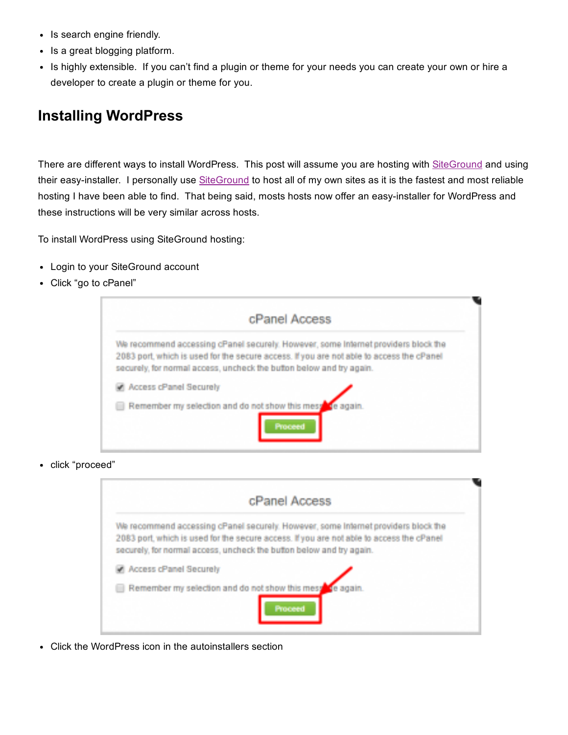- Is search engine friendly.
- Is a great blogging platform.
- Is highly extensible. If you can't find a plugin or theme for your needs you can create your own or hire a developer to create a plugin or theme for you.

#### Installing WordPress

There are different ways to install WordPress. This post will assume you are hosting with [SiteGround](https://www.siteground.com/index.htm?afcode=2207a85440ab21fcf614b8241cac0d70) and using their easy-installer. I personally use [SiteGround](https://www.siteground.com/index.htm?afcode=2207a85440ab21fcf614b8241cac0d70) to host all of my own sites as it is the fastest and most reliable hosting I have been able to find. That being said, mosts hosts now offer an easy-installer for WordPress and these instructions will be very similar across hosts.

To install WordPress using SiteGround hosting:

- Login to your SiteGround account
- Click "go to cPanel"

| cPanel Access                                                                                                                                                                                                                                          |
|--------------------------------------------------------------------------------------------------------------------------------------------------------------------------------------------------------------------------------------------------------|
| We recommend accessing cPanel securely. However, some internet providers block the<br>2083 port, which is used for the secure access. If you are not able to access the cPanel<br>securely, for normal access, uncheck the button below and try again. |
| Access cPanel Securely                                                                                                                                                                                                                                 |
| Remember my selection and do not show this message eagain.                                                                                                                                                                                             |
| Processi                                                                                                                                                                                                                                               |

click "proceed"



Click the WordPress icon in the autoinstallers section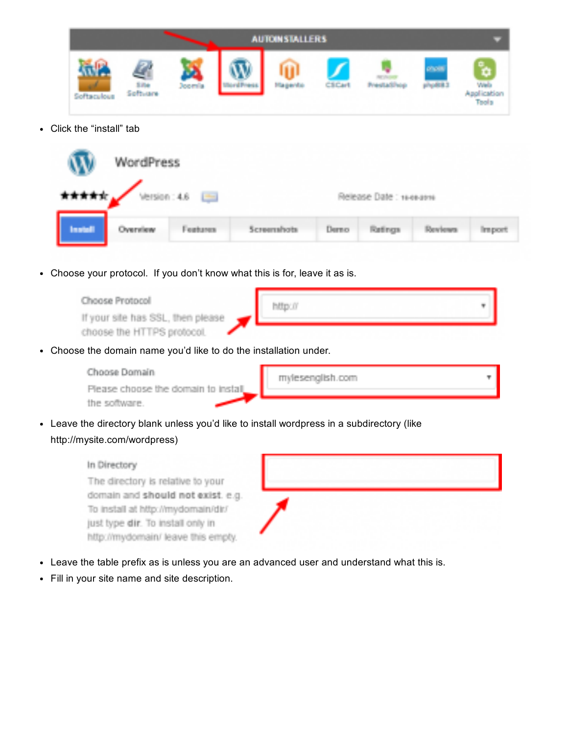|            |                   |               | <b>AUTOINSTALLERS</b>        |        |                        |                    |                                                 |
|------------|-------------------|---------------|------------------------------|--------|------------------------|--------------------|-------------------------------------------------|
| Softwarkwa | 5.0m<br>Software. | <b>Joemia</b> | Magerda<br><b>The Second</b> | CS Car | <b>President Paper</b> | ompete.<br>mark 43 | B)<br><b>Web</b><br>Application<br><b>Tools</b> |

Click the "install" tab

|         | WordPress         |          |             |       |                         |        |
|---------|-------------------|----------|-------------|-------|-------------------------|--------|
|         | ***** Version: 46 |          |             |       | Release Date: 16-esatro |        |
| Install | Overview.         | Features | Screenshots | Derno | Retings                 | Import |

Choose your protocol. If you don't know what this is for, leave it as is.

| Choose Protocol<br>If your site has SSL. then please |  |
|------------------------------------------------------|--|
| choose the HTTPS protocol.                           |  |

Choose the domain name you'd like to do the installation under.

| Choose Domain                       | mylesenglish.com |  |
|-------------------------------------|------------------|--|
| Please choose the domain to install |                  |  |
| the software.                       |                  |  |

Leave the directory blank unless you'd like to install wordpress in a subdirectory (like http://mysite.com/wordpress)

#### In Directory

The directory is relative to your domain and should not exist, e.g. To install at http://mydomain/dir/ just type dir. To install only in http://mydomain/ leave this empty.

- Leave the table prefix as is unless you are an advanced user and understand what this is.
- Fill in your site name and site description.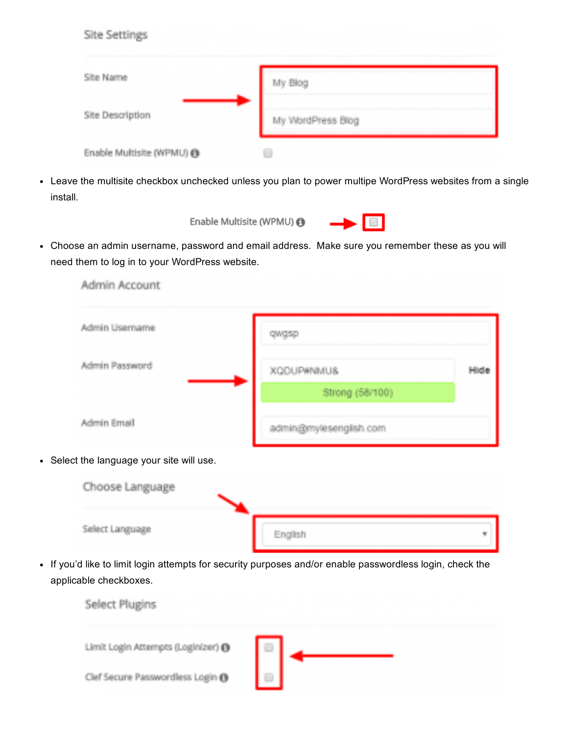| Site Settings             |                   |
|---------------------------|-------------------|
| Site Name                 | My Blog           |
| Site Description          | My WordPress Blog |
| Enable Multisite (WPMU) @ |                   |

Leave the multisite checkbox unchecked unless you plan to power multipe WordPress websites from a single install.



Choose an admin username, password and email address. Make sure you remember these as you will need them to log in to your WordPress website.

| Admin Usemame  | awaso                  |      |
|----------------|------------------------|------|
| Admin Password | XQDUP#NMU&             | Hide |
|                | Strong (58/100)        |      |
| Admin Email    | admin@mylesenglish.com |      |



If you'd like to limit login attempts for security purposes and/or enable passwordless login, check the applicable checkboxes.

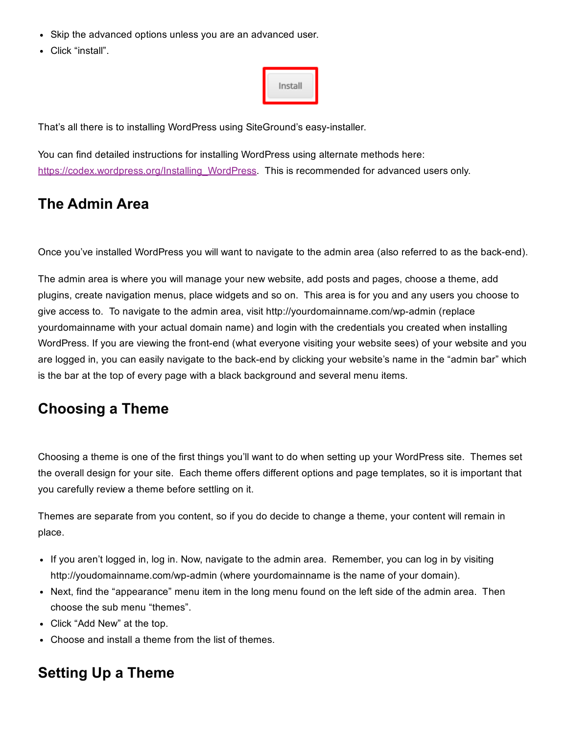- Skip the advanced options unless you are an advanced user.
- Click "install".

| Install |
|---------|
|---------|

That's all there is to installing WordPress using SiteGround's easy-installer.

You can find detailed instructions for installing WordPress using alternate methods here: [https://codex.wordpress.org/Installing\\_WordPress.](https://codex.wordpress.org/Installing_WordPress) This is recommended for advanced users only.

#### The Admin Area

Once you've installed WordPress you will want to navigate to the admin area (also referred to as the back-end).

The admin area is where you will manage your new website, add posts and pages, choose a theme, add plugins, create navigation menus, place widgets and so on. This area is for you and any users you choose to give access to. To navigate to the admin area, visit http://yourdomainname.com/wp-admin (replace yourdomainname with your actual domain name) and login with the credentials you created when installing WordPress. If you are viewing the front-end (what everyone visiting your website sees) of your website and you are logged in, you can easily navigate to the back-end by clicking your website's name in the "admin bar" which is the bar at the top of every page with a black background and several menu items.

#### Choosing a Theme

Choosing a theme is one of the first things you'll want to do when setting up your WordPress site. Themes set the overall design for your site. Each theme offers different options and page templates, so it is important that you carefully review a theme before settling on it.

Themes are separate from you content, so if you do decide to change a theme, your content will remain in place.

- If you aren't logged in, log in. Now, navigate to the admin area. Remember, you can log in by visiting http://youdomainname.com/wp-admin (where yourdomainname is the name of your domain).
- Next, find the "appearance" menu item in the long menu found on the left side of the admin area. Then choose the sub menu "themes".
- Click "Add New" at the top.
- Choose and install a theme from the list of themes.

# Setting Up a Theme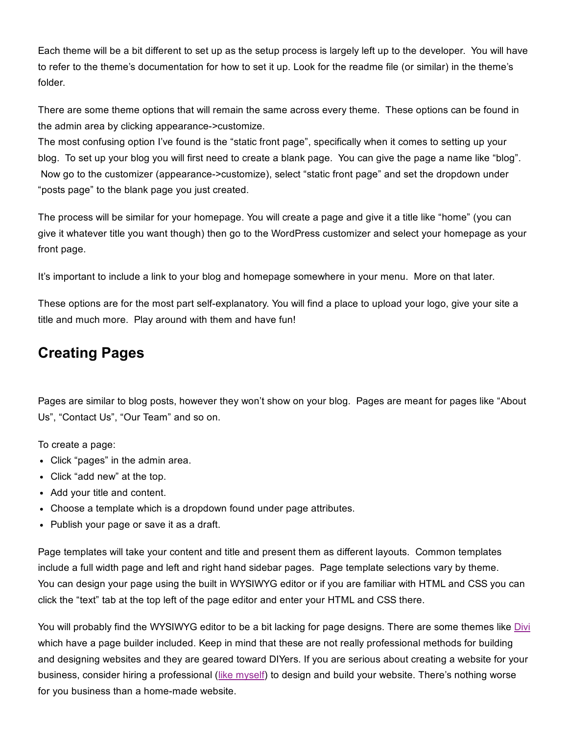Each theme will be a bit different to set up as the setup process is largely left up to the developer. You will have to refer to the theme's documentation for how to set it up. Look for the readme file (or similar) in the theme's folder.

There are some theme options that will remain the same across every theme. These options can be found in the admin area by clicking appearance->customize.

The most confusing option I've found is the "static front page", specifically when it comes to setting up your blog. To set up your blog you will first need to create a blank page. You can give the page a name like "blog". Now go to the customizer (appearance- $\geq$ customize), select "static front page" and set the dropdown under "posts page" to the blank page you just created.

The process will be similar for your homepage. You will create a page and give it a title like "home" (you can give it whatever title you want though) then go to the WordPress customizer and select your homepage as your front page.

It's important to include a link to your blog and homepage somewhere in your menu. More on that later.

These options are for the most part selfexplanatory. You will find a place to upload your logo, give your site a title and much more. Play around with them and have fun!

### Creating Pages

Pages are similar to blog posts, however they won't show on your blog. Pages are meant for pages like "About Us", "Contact Us", "Our Team" and so on.

To create a page:

- Click "pages" in the admin area.
- Click "add new" at the top.
- Add your title and content.
- Choose a template which is a dropdown found under page attributes.
- Publish your page or save it as a draft.

Page templates will take your content and title and present them as different layouts. Common templates include a full width page and left and right hand sidebar pages. Page template selections vary by theme. You can design your page using the built in WYSIWYG editor or if you are familiar with HTML and CSS you can click the "text" tab at the top left of the page editor and enter your HTML and CSS there.

You will probably find the WYSIWYG editor to be a bit lacking for page designs. There are some themes like [Divi](https://www.elegantthemes.com/gallery/divi/) which have a page builder included. Keep in mind that these are not really professional methods for building and designing websites and they are geared toward DIYers. If you are serious about creating a website for your business, consider hiring a professional (like [myself](http://mylesenglish.com/)) to design and build your website. There's nothing worse for you business than a home-made website.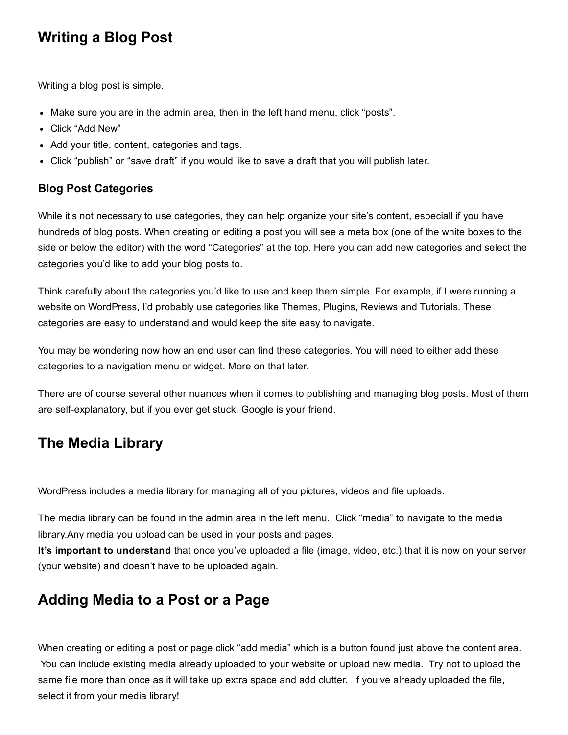#### Writing a Blog Post

Writing a blog post is simple.

- Make sure you are in the admin area, then in the left hand menu, click "posts".
- Click "Add New"
- Add your title, content, categories and tags.
- Click "publish" or "save draft" if you would like to save a draft that you will publish later.

#### Blog Post Categories

While it's not necessary to use categories, they can help organize your site's content, especiall if you have hundreds of blog posts. When creating or editing a post you will see a meta box (one of the white boxes to the side or below the editor) with the word "Categories" at the top. Here you can add new categories and select the categories you'd like to add your blog posts to.

Think carefully about the categories you'd like to use and keep them simple. For example, if I were running a website on WordPress, I'd probably use categories like Themes, Plugins, Reviews and Tutorials. These categories are easy to understand and would keep the site easy to navigate.

You may be wondering now how an end user can find these categories. You will need to either add these categories to a navigation menu or widget. More on that later.

There are of course several other nuances when it comes to publishing and managing blog posts. Most of them are self-explanatory, but if you ever get stuck, Google is your friend.

#### The Media Library

WordPress includes a media library for managing all of you pictures, videos and file uploads.

The media library can be found in the admin area in the left menu. Click "media" to navigate to the media library.Any media you upload can be used in your posts and pages.

It's important to understand that once you've uploaded a file (image, video, etc.) that it is now on your server (your website) and doesn't have to be uploaded again.

# Adding Media to a Post or a Page

When creating or editing a post or page click "add media" which is a button found just above the content area. You can include existing media already uploaded to your website or upload new media. Try not to upload the same file more than once as it will take up extra space and add clutter. If you've already uploaded the file, select it from your media library!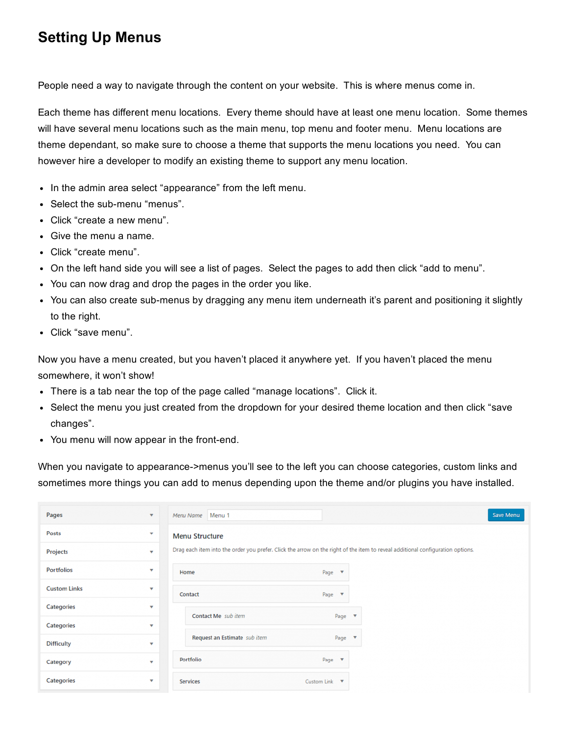# Setting Up Menus

People need a way to navigate through the content on your website. This is where menus come in.

Each theme has different menu locations. Every theme should have at least one menu location. Some themes will have several menu locations such as the main menu, top menu and footer menu. Menu locations are theme dependant, so make sure to choose a theme that supports the menu locations you need. You can however hire a developer to modify an existing theme to support any menu location.

- In the admin area select "appearance" from the left menu.
- Select the sub-menu "menus".
- Click "create a new menu".
- Give the menu a name.
- Click "create menu".
- On the left hand side you will see a list of pages. Select the pages to add then click "add to menu".
- You can now drag and drop the pages in the order you like.
- You can also create sub-menus by dragging any menu item underneath it's parent and positioning it slightly to the right.
- Click "save menu".

Now you have a menu created, but you haven't placed it anywhere yet. If you haven't placed the menu somewhere, it won't show!

- There is a tab near the top of the page called "manage locations". Click it.
- Select the menu you just created from the dropdown for your desired theme location and then click "save changes".
- You menu will now appear in the front-end.

When you navigate to appearance->menus you'll see to the left you can choose categories, custom links and sometimes more things you can add to menus depending upon the theme and/or plugins you have installed.

| Pages               | $\overline{\mathbf{v}}$ | Menu Name Menu 1                                                                                                               | Save Menu |  |  |  |  |  |
|---------------------|-------------------------|--------------------------------------------------------------------------------------------------------------------------------|-----------|--|--|--|--|--|
| Posts               | $\overline{\mathbf{v}}$ | <b>Menu Structure</b>                                                                                                          |           |  |  |  |  |  |
| Projects            | $\mathbf{v}$            | Drag each item into the order you prefer. Click the arrow on the right of the item to reveal additional configuration options. |           |  |  |  |  |  |
| <b>Portfolios</b>   | $\mathbf v$             | Home<br>Page $\overline{\phantom{a}}$                                                                                          |           |  |  |  |  |  |
| <b>Custom Links</b> | $\mathbf{v}$            | Contact<br>Page $\overline{\mathbf{v}}$                                                                                        |           |  |  |  |  |  |
| Categories          | $\mathbf{v}$            | Contact Me sub item<br>Page $\overline{\mathbf{v}}$                                                                            |           |  |  |  |  |  |
| <b>Categories</b>   | $\overline{\mathbf{v}}$ |                                                                                                                                |           |  |  |  |  |  |
| <b>Difficulty</b>   | $\mathbf{v}$            | Request an Estimate sub item<br>Page $\overline{\mathbf{v}}$                                                                   |           |  |  |  |  |  |
| Category            | $\overline{\mathbf{v}}$ | Portfolio<br>Page $\Psi$                                                                                                       |           |  |  |  |  |  |
| Categories          | $\overline{\mathbf{v}}$ | Services<br>Custom Link $\overline{\mathbf{v}}$                                                                                |           |  |  |  |  |  |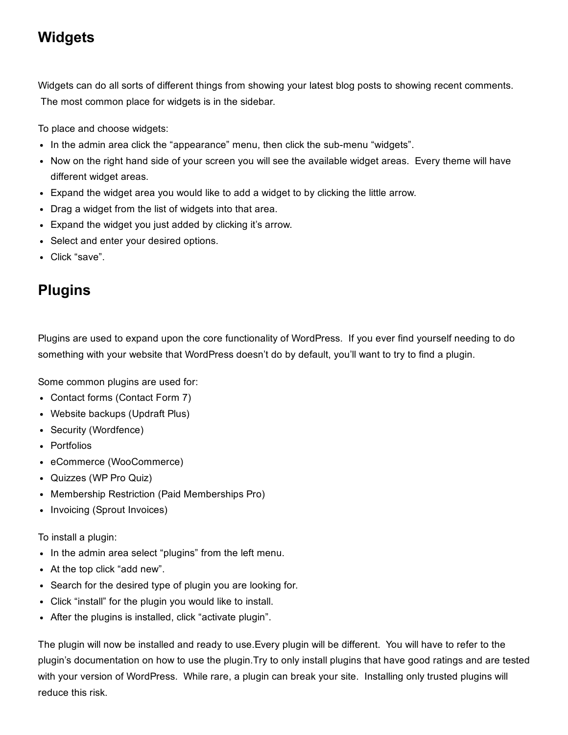### **Widgets**

Widgets can do all sorts of different things from showing your latest blog posts to showing recent comments. The most common place for widgets is in the sidebar.

To place and choose widgets:

- In the admin area click the "appearance" menu, then click the sub-menu "widgets".
- Now on the right hand side of your screen you will see the available widget areas. Every theme will have different widget areas.
- Expand the widget area you would like to add a widget to by clicking the little arrow.
- Drag a widget from the list of widgets into that area.
- Expand the widget you just added by clicking it's arrow.
- Select and enter your desired options.
- Click "save".

# **Plugins**

Plugins are used to expand upon the core functionality of WordPress. If you ever find yourself needing to do something with your website that WordPress doesn't do by default, you'll want to try to find a plugin.

Some common plugins are used for:

- Contact forms (Contact Form 7)
- Website backups (Updraft Plus)
- Security (Wordfence)
- Portfolios
- eCommerce (WooCommerce)
- Quizzes (WP Pro Quiz)
- Membership Restriction (Paid Memberships Pro)
- Invoicing (Sprout Invoices)

To install a plugin:

- In the admin area select "plugins" from the left menu.
- At the top click "add new".
- Search for the desired type of plugin you are looking for.
- Click "install" for the plugin you would like to install.
- After the plugins is installed, click "activate plugin".

The plugin will now be installed and ready to use.Every plugin will be different. You will have to refer to the plugin's documentation on how to use the plugin.Try to only install plugins that have good ratings and are tested with your version of WordPress. While rare, a plugin can break your site. Installing only trusted plugins will reduce this risk.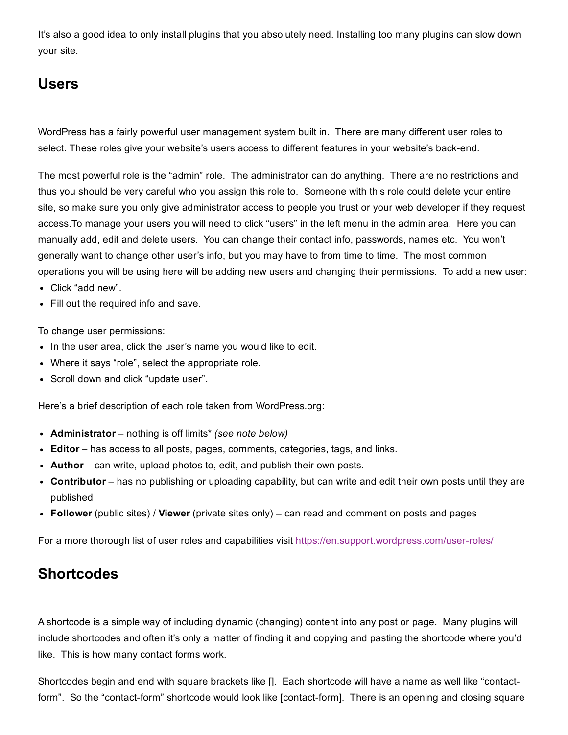It's also a good idea to only install plugins that you absolutely need. Installing too many plugins can slow down your site.

### Users

WordPress has a fairly powerful user management system built in. There are many different user roles to select. These roles give your website's users access to different features in your website's back-end.

The most powerful role is the "admin" role. The administrator can do anything. There are no restrictions and thus you should be very careful who you assign this role to. Someone with this role could delete your entire site, so make sure you only give administrator access to people you trust or your web developer if they request access.To manage your users you will need to click "users" in the left menu in the admin area. Here you can manually add, edit and delete users. You can change their contact info, passwords, names etc. You won't generally want to change other user's info, but you may have to from time to time. The most common operations you will be using here will be adding new users and changing their permissions. To add a new user:

- Click "add new".
- Fill out the required info and save.

To change user permissions:

- In the user area, click the user's name you would like to edit.
- Where it says "role", select the appropriate role.
- Scroll down and click "update user".

Here's a brief description of each role taken from WordPress.org:

- Administrator nothing is off limits\* *(see note below)*
- Editor has access to all posts, pages, comments, categories, tags, and links.
- Author can write, upload photos to, edit, and publish their own posts.
- Contributor has no publishing or uploading capability, but can write and edit their own posts until they are published
- Follower (public sites) / Viewer (private sites only) can read and comment on posts and pages

For a more thorough list of user roles and capabilities visit https://en.support.wordpress.com/user-roles/

#### **Shortcodes**

A shortcode is a simple way of including dynamic (changing) content into any post or page. Many plugins will include shortcodes and often it's only a matter of finding it and copying and pasting the shortcode where you'd like. This is how many contact forms work.

Shortcodes begin and end with square brackets like []. Each shortcode will have a name as well like "contactform". So the "contact-form" shortcode would look like [contact-form]. There is an opening and closing square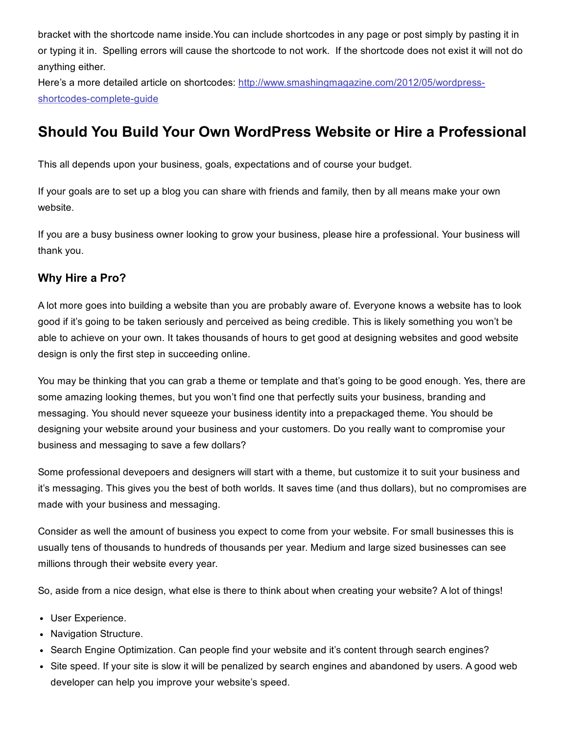bracket with the shortcode name inside.You can include shortcodes in any page or post simply by pasting it in or typing it in. Spelling errors will cause the shortcode to not work. If the shortcode does not exist it will not do anything either.

Here's a more detailed article on shortcodes: [http://www.smashingmagazine.com/2012/05/wordpress](http://www.smashingmagazine.com/2012/05/wordpress-shortcodes-complete-guide/)shortcodes-complete-quide

### Should You Build Your Own WordPress Website or Hire a Professional

This all depends upon your business, goals, expectations and of course your budget.

If your goals are to set up a blog you can share with friends and family, then by all means make your own website.

If you are a busy business owner looking to grow your business, please hire a professional. Your business will thank you.

#### Why Hire a Pro?

A lot more goes into building a website than you are probably aware of. Everyone knows a website has to look good if it's going to be taken seriously and perceived as being credible. This is likely something you won't be able to achieve on your own. It takes thousands of hours to get good at designing websites and good website design is only the first step in succeeding online.

You may be thinking that you can grab a theme or template and that's going to be good enough. Yes, there are some amazing looking themes, but you won't find one that perfectly suits your business, branding and messaging. You should never squeeze your business identity into a prepackaged theme. You should be designing your website around your business and your customers. Do you really want to compromise your business and messaging to save a few dollars?

Some professional devepoers and designers will start with a theme, but customize it to suit your business and it's messaging. This gives you the best of both worlds. It saves time (and thus dollars), but no compromises are made with your business and messaging.

Consider as well the amount of business you expect to come from your website. For small businesses this is usually tens of thousands to hundreds of thousands per year. Medium and large sized businesses can see millions through their website every year.

So, aside from a nice design, what else is there to think about when creating your website? A lot of things!

- User Experience.
- Navigation Structure.
- Search Engine Optimization. Can people find your website and it's content through search engines?
- Site speed. If your site is slow it will be penalized by search engines and abandoned by users. A good web developer can help you improve your website's speed.